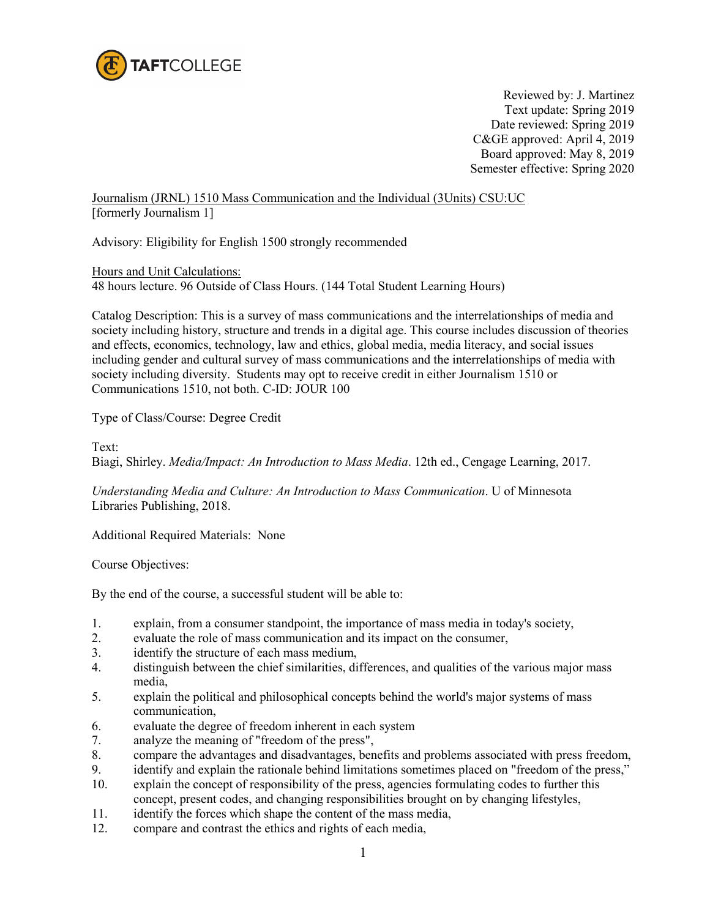

Reviewed by: J. Martinez Text update: Spring 2019 Date reviewed: Spring 2019 C&GE approved: April 4, 2019 Board approved: May 8, 2019 Semester effective: Spring 2020

Journalism (JRNL) 1510 Mass Communication and the Individual (3Units) CSU:UC [formerly Journalism 1]

Advisory: Eligibility for English 1500 strongly recommended

Hours and Unit Calculations: 48 hours lecture. 96 Outside of Class Hours. (144 Total Student Learning Hours)

Catalog Description: This is a survey of mass communications and the interrelationships of media and society including history, structure and trends in a digital age. This course includes discussion of theories and effects, economics, technology, law and ethics, global media, media literacy, and social issues including gender and cultural survey of mass communications and the interrelationships of media with society including diversity. Students may opt to receive credit in either Journalism 1510 or Communications 1510, not both. C-ID: JOUR 100

Type of Class/Course: Degree Credit

Text:

Biagi, Shirley. *Media/Impact: An Introduction to Mass Media*. 12th ed., Cengage Learning, 2017.

*Understanding Media and Culture: An Introduction to Mass Communication*. U of Minnesota Libraries Publishing, 2018.

Additional Required Materials: None

Course Objectives:

By the end of the course, a successful student will be able to:

- 1. explain, from a consumer standpoint, the importance of mass media in today's society,
- 2. evaluate the role of mass communication and its impact on the consumer,
- 3. identify the structure of each mass medium,
- 4. distinguish between the chief similarities, differences, and qualities of the various major mass media,
- 5. explain the political and philosophical concepts behind the world's major systems of mass communication,
- 6. evaluate the degree of freedom inherent in each system
- 7. analyze the meaning of "freedom of the press",
- 8. compare the advantages and disadvantages, benefits and problems associated with press freedom,
- 9. identify and explain the rationale behind limitations sometimes placed on "freedom of the press,"
- 10. explain the concept of responsibility of the press, agencies formulating codes to further this concept, present codes, and changing responsibilities brought on by changing lifestyles,
- 11. identify the forces which shape the content of the mass media,
- 12. compare and contrast the ethics and rights of each media,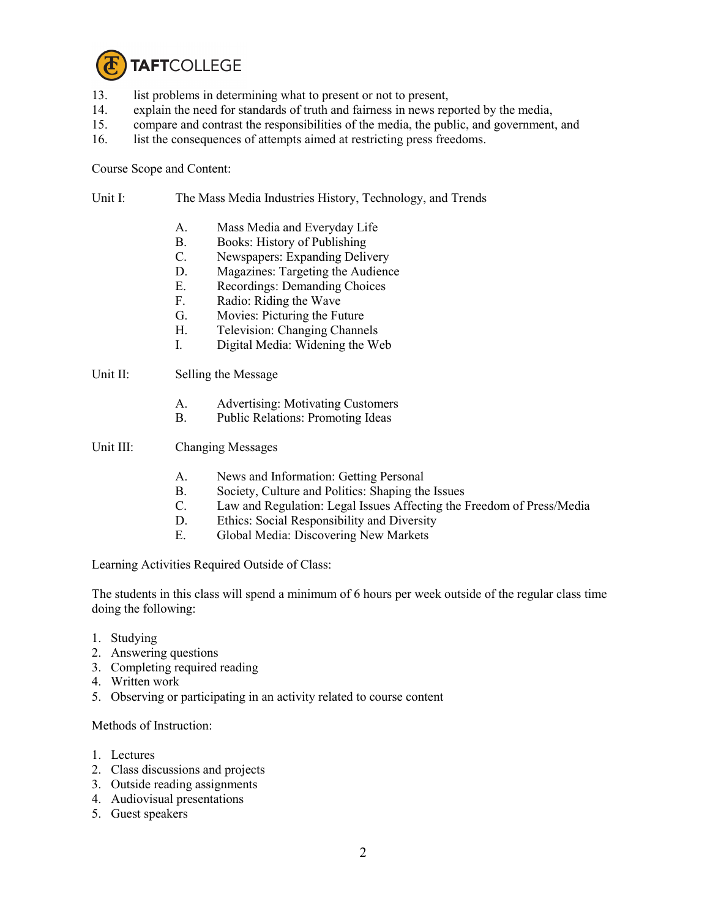

- 13. list problems in determining what to present or not to present,
- 14. explain the need for standards of truth and fairness in news reported by the media,
- 15. compare and contrast the responsibilities of the media, the public, and government, and
- 16. list the consequences of attempts aimed at restricting press freedoms.

Course Scope and Content:

- Unit I: The Mass Media Industries History, Technology, and Trends
	- A. Mass Media and Everyday Life
	- B. Books: History of Publishing
	- C. Newspapers: Expanding Delivery
	- D. Magazines: Targeting the Audience
	- E. Recordings: Demanding Choices
	- F. Radio: Riding the Wave
	- G. Movies: Picturing the Future
	- H. Television: Changing Channels
	- I. Digital Media: Widening the Web
- Unit II: Selling the Message
	- A. Advertising: Motivating Customers
	- B. Public Relations: Promoting Ideas
- Unit III: Changing Messages
	- A. News and Information: Getting Personal
	- B. Society, Culture and Politics: Shaping the Issues
	- C. Law and Regulation: Legal Issues Affecting the Freedom of Press/Media
	- D. Ethics: Social Responsibility and Diversity
	- E. Global Media: Discovering New Markets

Learning Activities Required Outside of Class:

The students in this class will spend a minimum of 6 hours per week outside of the regular class time doing the following:

- 1. Studying
- 2. Answering questions
- 3. Completing required reading
- 4. Written work
- 5. Observing or participating in an activity related to course content

Methods of Instruction:

- 1. Lectures
- 2. Class discussions and projects
- 3. Outside reading assignments
- 4. Audiovisual presentations
- 5. Guest speakers